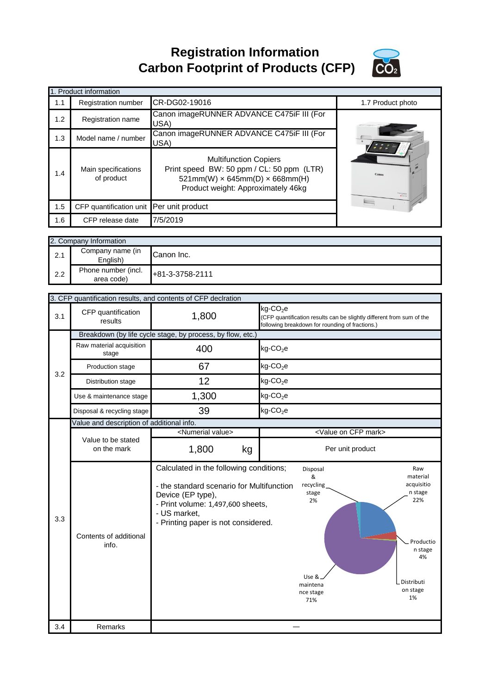**Registration Information Carbon Footprint of Products (CFP)**



|     | 1. Product information            |                                                                                                                                                               |                   |
|-----|-----------------------------------|---------------------------------------------------------------------------------------------------------------------------------------------------------------|-------------------|
| 1.1 | <b>Registration number</b>        | CR-DG02-19016                                                                                                                                                 | 1.7 Product photo |
| 1.2 | <b>Registration name</b>          | Canon imageRUNNER ADVANCE C475iF III (For<br>USA)                                                                                                             |                   |
| 1.3 | Model name / number               | Canon imageRUNNER ADVANCE C475iF III (For<br>USA)                                                                                                             |                   |
| 1.4 | Main specifications<br>of product | <b>Multifunction Copiers</b><br>Print speed BW: 50 ppm / CL: 50 ppm (LTR)<br>$521mm(W) \times 645mm(D) \times 668mm(H)$<br>Product weight: Approximately 46kg |                   |
| 1.5 | CFP quantification unit           | Per unit product                                                                                                                                              |                   |
| 1.6 | CFP release date                  | 7/5/2019                                                                                                                                                      |                   |

|     | 2. Company Information            |                 |  |
|-----|-----------------------------------|-----------------|--|
| 2.1 | Company name (in<br>English)      | Canon Inc.      |  |
| 2.2 | Phone number (incl.<br>area code) | +81-3-3758-2111 |  |

|     |                                           | 3. CFP quantification results, and contents of CFP declration                                                                                                                                         |                                                                                                                                                                                                     |
|-----|-------------------------------------------|-------------------------------------------------------------------------------------------------------------------------------------------------------------------------------------------------------|-----------------------------------------------------------------------------------------------------------------------------------------------------------------------------------------------------|
| 3.1 | CFP quantification<br>results             | 1,800                                                                                                                                                                                                 | kg-CO <sub>2</sub> e<br>(CFP quantification results can be slightly different from sum of the<br>following breakdown for rounding of fractions.)                                                    |
|     |                                           | Breakdown (by life cycle stage, by process, by flow, etc.)                                                                                                                                            |                                                                                                                                                                                                     |
|     | Raw material acquisition<br>stage         | 400                                                                                                                                                                                                   | $kg$ -CO <sub>2</sub> e                                                                                                                                                                             |
| 3.2 | Production stage                          | 67                                                                                                                                                                                                    | $kg$ -CO <sub>2</sub> e                                                                                                                                                                             |
|     | Distribution stage                        | 12                                                                                                                                                                                                    | $kg$ -CO <sub>2</sub> e                                                                                                                                                                             |
|     | Use & maintenance stage                   | 1,300                                                                                                                                                                                                 | $kg$ -CO <sub>2</sub> e                                                                                                                                                                             |
|     | Disposal & recycling stage                | 39                                                                                                                                                                                                    | $kg$ -CO <sub>2</sub> e                                                                                                                                                                             |
|     | Value and description of additional info. |                                                                                                                                                                                                       |                                                                                                                                                                                                     |
|     |                                           | <numerial value=""></numerial>                                                                                                                                                                        | <value cfp="" mark="" on=""></value>                                                                                                                                                                |
|     | Value to be stated<br>on the mark         | 1,800<br>kg                                                                                                                                                                                           | Per unit product                                                                                                                                                                                    |
|     |                                           |                                                                                                                                                                                                       |                                                                                                                                                                                                     |
| 3.3 | Contents of additional<br>info.           | Calculated in the following conditions;<br>- the standard scenario for Multifunction<br>Device (EP type),<br>- Print volume: 1,497,600 sheets,<br>- US market,<br>- Printing paper is not considered. | Raw<br>Disposal<br>&<br>material<br>acquisitio<br>recycling<br>n stage<br>stage<br>22%<br>2%<br>Productio<br>n stage<br>4%<br>Use &<br>Distributi<br>maintena<br>on stage<br>nce stage<br>1%<br>71% |